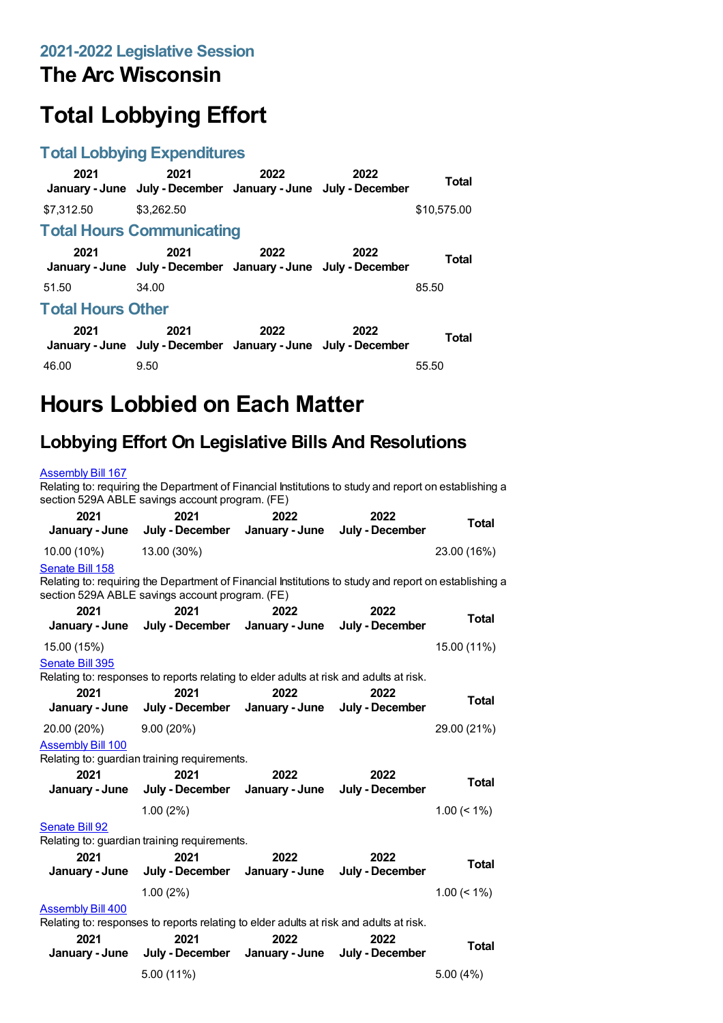### **The Arc Wisconsin**

# **Total Lobbying Effort**

#### **Total Lobbying Expenditures**

|                          | 2021                             | 2021<br>January - June July - December January - June July - December | 2022 | 2022 | Total       |  |
|--------------------------|----------------------------------|-----------------------------------------------------------------------|------|------|-------------|--|
|                          | \$7,312.50                       | \$3.262.50                                                            |      |      | \$10,575.00 |  |
|                          | <b>Total Hours Communicating</b> |                                                                       |      |      |             |  |
|                          | 2021                             | 2021<br>January - June July - December January - June July - December | 2022 | 2022 | Total       |  |
|                          | 51.50                            | 34.00                                                                 |      |      | 85.50       |  |
| <b>Total Hours Other</b> |                                  |                                                                       |      |      |             |  |
|                          | 2021                             | 2021<br>January - June July - December January - June July - December | 2022 | 2022 | Total       |  |
|                          | 46.00                            | 9.50                                                                  |      |      | 55.50       |  |

## **Hours Lobbied on Each Matter**

#### **Lobbying Effort On Legislative Bills And Resolutions**

#### **[Assembly](https://lobbying.wi.gov/What/BillInformation/2021REG/Information/18662?tab=Efforts) Bill 167**

Relating to: requiring the Department of Financial Institutions to study and report on establishing a section 529A ABLE savings account program. (FE)

| 2021<br>January - June   | 2021<br>July - December                                                                                                                                  | 2022<br>January - June | 2022<br>July - December | Total          |
|--------------------------|----------------------------------------------------------------------------------------------------------------------------------------------------------|------------------------|-------------------------|----------------|
| 10.00 (10%)              | 13.00 (30%)                                                                                                                                              |                        |                         | 23.00 (16%)    |
| Senate Bill 158          |                                                                                                                                                          |                        |                         |                |
|                          | Relating to: requiring the Department of Financial Institutions to study and report on establishing a<br>section 529A ABLE savings account program. (FE) |                        |                         |                |
| 2021                     | 2021                                                                                                                                                     | 2022                   | 2022                    | Total          |
| January - June           | July - December                                                                                                                                          | January - June         | July - December         |                |
| 15.00 (15%)              |                                                                                                                                                          |                        |                         | 15.00 (11%)    |
| Senate Bill 395          |                                                                                                                                                          |                        |                         |                |
|                          | Relating to: responses to reports relating to elder adults at risk and adults at risk.                                                                   |                        |                         |                |
| 2021<br>January - June   | 2021<br>July - December                                                                                                                                  | 2022<br>January - June | 2022<br>July - December | <b>Total</b>   |
| 20.00 (20%)              | 9.00(20%)                                                                                                                                                |                        |                         | 29.00 (21%)    |
| <b>Assembly Bill 100</b> |                                                                                                                                                          |                        |                         |                |
|                          | Relating to: guardian training requirements.                                                                                                             |                        |                         |                |
| 2021                     | 2021                                                                                                                                                     | 2022                   | 2022                    | Total          |
| January - June           | July - December                                                                                                                                          | January - June         | July - December         |                |
|                          | 1.00(2%)                                                                                                                                                 |                        |                         | $1.00 \le 1\%$ |
| Senate Bill 92           | Relating to: guardian training requirements.                                                                                                             |                        |                         |                |
| 2021                     | 2021                                                                                                                                                     | 2022                   | 2022                    |                |
| January - June           | July - December                                                                                                                                          | January - June         | July - December         | <b>Total</b>   |
|                          | 1.00(2%)                                                                                                                                                 |                        |                         | $1.00 \le 1\%$ |
| <b>Assembly Bill 400</b> | Relating to: responses to reports relating to elder adults at risk and adults at risk.                                                                   |                        |                         |                |
| 2021                     | 2021                                                                                                                                                     | 2022                   | 2022                    | Total          |
| January - June           | July - December                                                                                                                                          | January - June         | July - December         |                |
|                          | 5.00 (11%)                                                                                                                                               |                        |                         | 5.00 (4%)      |